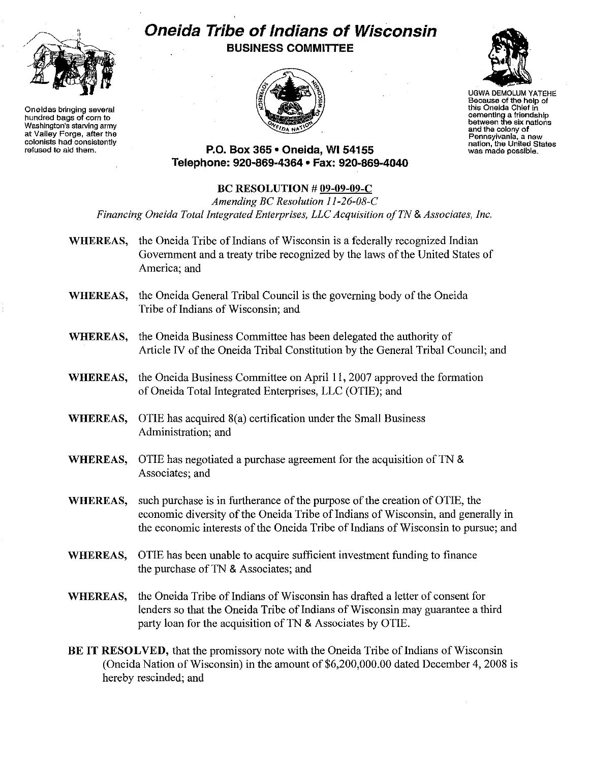

**Oneidas bringing several hundred bags of corn to Washington's** atarvlnq **army at Valley Forge, after the** colonists had consistently **refused to aid them.**

## **Oneida Tribe of Indians of Wisconsin BUSINESS COMMITTEE**





UGWA DEMOLUM YATEHE **Because of the help of this Oneida Chief in cementing a friendship between the six nations and the colony of Pennsylvania, a new nation, the United States was made possible.**

**P.O. Box 365· Oneida,** WI 54155 **Telephone: 920-869-4364· Fax: 920-869-4040**

## **BC RESOLUTION # 09-09-09-C**

*Amending BC Resolution 11-26-08-C Financing Oneida Total Integrated Enterprises, LLCAcquisition o/TN*& *Associates, Inc,*

- **WHEREAS,** the Oneida Tribe of Indians of Wisconsin is a federally recognized Indian Government and a treaty tribe recognized by the laws of the United States of America; and
- **WHEREAS,** the Oneida General Tribal Council is the governing body ofthe Oneida Tribe of Indians of Wisconsin; and
- **WHEREAS,** the Oneida Business Committee has been delegated the authority of Article IV of the Oneida Tribal Constitution by the General Tribal Council; and
- **WHEREAS,** the Oneida Business Committee on April II, 2007 approved the formation of Oneida Total Integrated Enterprises, LLC (OTIE); and
- **WHEREAS,** OTIE has acquired 8(a) certification under the Small Business Administration; and
- **WHEREAS,** OTIE has negotiated a purchase agreement for the acquisition of TN & Associates; and
- **WHEREAS,** such purchase is in furtherance of the purpose of the creation of OTIE, the economic diversity of the Oneida Tribe of Indians of Wisconsin, and generally in the economic interests of the Oneida Tribe of Indians of Wisconsin to pursue; and
- **WHEREAS,** OTIE has been unable to acquire sufficient investment funding to finance the purchase of TN & Associates; and
- **WHEREAS,** the Oneida Tribe of Indians of Wisconsin has drafted a letter of consent for lenders so that the Oneida Tribe of Indians of Wisconsin may guarantee a third party loan for the acquisition of TN & Associates by OTIE.
- **BE IT RESOLVED,** that the promissory note with the Oneida Tribe of Indians of Wisconsin (Oneida Nation of Wisconsin) in the amount of \$6,200,000.00 dated December 4, 2008 is hereby rescinded; and